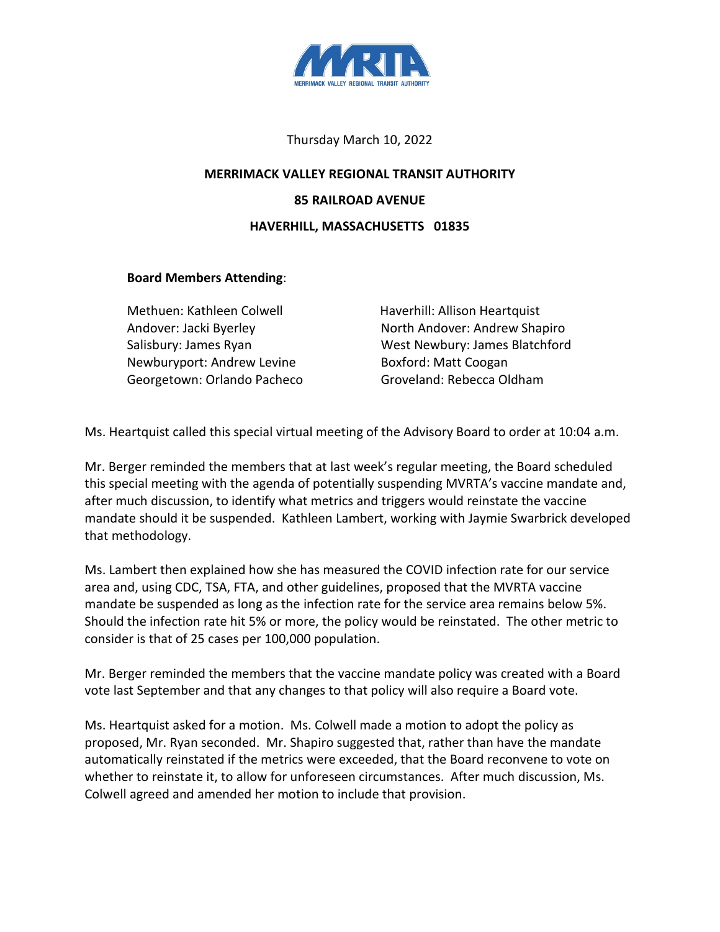

## Thursday March 10, 2022

## **MERRIMACK VALLEY REGIONAL TRANSIT AUTHORITY 85 RAILROAD AVENUE HAVERHILL, MASSACHUSETTS 01835**

## **Board Members Attending**:

Methuen: Kathleen Colwell Haverhill: Allison Heartquist Newburyport: Andrew Levine **Boxford: Matt Coogan** Georgetown: Orlando Pacheco Groveland: Rebecca Oldham

Andover: Jacki Byerley North Andover: Andrew Shapiro Salisbury: James Ryan West Newbury: James Blatchford

Ms. Heartquist called this special virtual meeting of the Advisory Board to order at 10:04 a.m.

Mr. Berger reminded the members that at last week's regular meeting, the Board scheduled this special meeting with the agenda of potentially suspending MVRTA's vaccine mandate and, after much discussion, to identify what metrics and triggers would reinstate the vaccine mandate should it be suspended. Kathleen Lambert, working with Jaymie Swarbrick developed that methodology.

Ms. Lambert then explained how she has measured the COVID infection rate for our service area and, using CDC, TSA, FTA, and other guidelines, proposed that the MVRTA vaccine mandate be suspended as long as the infection rate for the service area remains below 5%. Should the infection rate hit 5% or more, the policy would be reinstated. The other metric to consider is that of 25 cases per 100,000 population.

Mr. Berger reminded the members that the vaccine mandate policy was created with a Board vote last September and that any changes to that policy will also require a Board vote.

Ms. Heartquist asked for a motion. Ms. Colwell made a motion to adopt the policy as proposed, Mr. Ryan seconded. Mr. Shapiro suggested that, rather than have the mandate automatically reinstated if the metrics were exceeded, that the Board reconvene to vote on whether to reinstate it, to allow for unforeseen circumstances. After much discussion, Ms. Colwell agreed and amended her motion to include that provision.